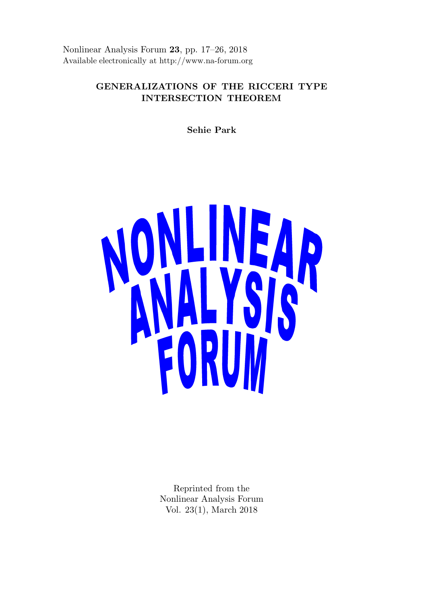Nonlinear Analysis Forum 23, pp. 17–26, 2018 Available electronically at http://www.na-forum.org

# GENERALIZATIONS OF THE RICCERI TYPE INTERSECTION THEOREM

Sehie Park



Reprinted from the Nonlinear Analysis Forum Vol. 23(1), March 2018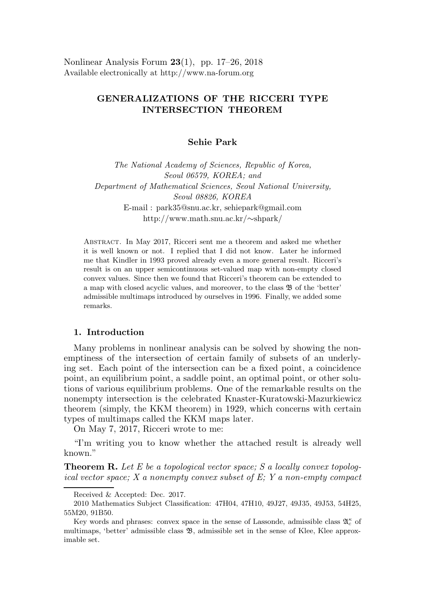Nonlinear Analysis Forum  $23(1)$ , pp. 17–26, 2018 Available electronically at http://www.na-forum.org

# GENERALIZATIONS OF THE RICCERI TYPE INTERSECTION THEOREM

Sehie Park

The National Academy of Sciences, Republic of Korea, Seoul 06579, KOREA; and Department of Mathematical Sciences, Seoul National University, Seoul 08826, KOREA E-mail : park35@snu.ac.kr, sehiepark@gmail.com http://www.math.snu.ac.kr/∼shpark/

Abstract. In May 2017, Ricceri sent me a theorem and asked me whether it is well known or not. I replied that I did not know. Later he informed me that Kindler in 1993 proved already even a more general result. Ricceri's result is on an upper semicontinuous set-valued map with non-empty closed convex values. Since then we found that Ricceri's theorem can be extended to a map with closed acyclic values, and moreover, to the class  $\mathfrak{B}$  of the 'better' admissible multimaps introduced by ourselves in 1996. Finally, we added some remarks.

# 1. Introduction

Many problems in nonlinear analysis can be solved by showing the nonemptiness of the intersection of certain family of subsets of an underlying set. Each point of the intersection can be a fixed point, a coincidence point, an equilibrium point, a saddle point, an optimal point, or other solutions of various equilibrium problems. One of the remarkable results on the nonempty intersection is the celebrated Knaster-Kuratowski-Mazurkiewicz theorem (simply, the KKM theorem) in 1929, which concerns with certain types of multimaps called the KKM maps later.

On May 7, 2017, Ricceri wrote to me:

"I'm writing you to know whether the attached result is already well known."

**Theorem R.** Let E be a topological vector space; S a locally convex topological vector space;  $X$  a nonempty convex subset of  $E: Y$  a non-empty compact

Received & Accepted: Dec. 2017.

<sup>2010</sup> Mathematics Subject Classification: 47H04, 47H10, 49J27, 49J35, 49J53, 54H25, 55M20, 91B50.

Key words and phrases: convex space in the sense of Lassonde, admissible class  $\mathfrak{A}_{c}^{\kappa}$  of multimaps, 'better' admissible class  $\mathfrak{B}$ , admissible set in the sense of Klee, Klee approximable set.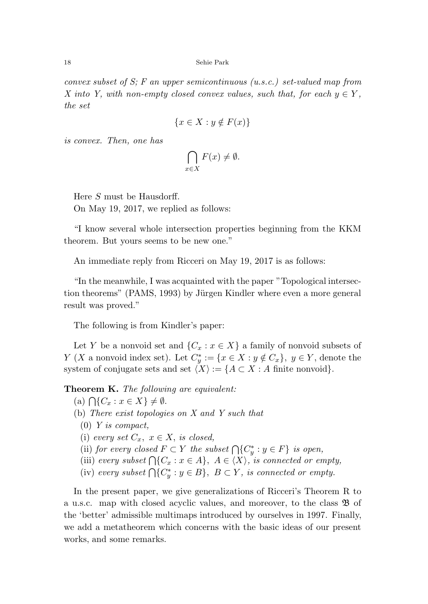18 Sehie Park

convex subset of S; F an upper semicontinuous (u.s.c.) set-valued map from X into Y, with non-empty closed convex values, such that, for each  $y \in Y$ , the set

$$
\{x \in X : y \notin F(x)\}\
$$

is convex. Then, one has

$$
\bigcap_{x \in X} F(x) \neq \emptyset.
$$

Here S must be Hausdorff. On May 19, 2017, we replied as follows:

"I know several whole intersection properties beginning from the KKM theorem. But yours seems to be new one."

An immediate reply from Ricceri on May 19, 2017 is as follows:

"In the meanwhile, I was acquainted with the paper "Topological intersection theorems" (PAMS, 1993) by Jürgen Kindler where even a more general result was proved."

The following is from Kindler's paper:

Let Y be a nonvoid set and  $\{C_x : x \in X\}$  a family of nonvoid subsets of Y (X a nonvoid index set). Let  $C_y^* := \{x \in X : y \notin C_x\}$ ,  $y \in Y$ , denote the system of conjugate sets and set  $\langle X \rangle := \{A \subset X : A \text{ finite nonvoid}\}.$ 

Theorem K. The following are equivalent:

- $(a) \bigcap \{C_x : x \in X\} \neq \emptyset.$
- (b) There exist topologies on X and Y such that
	- $(0)$  Y is compact,
	- (i) every set  $C_x$ ,  $x \in X$ , is closed,
	- (ii) for every closed  $F \subset Y$  the subset  $\bigcap \{C_y^* : y \in F\}$  is open,
	- (iii) every subset  $\bigcap \{C_x : x \in A\}, A \in \langle X \rangle$ , is connected or empty,
	- (iv) every subset  $\bigcap \{C^*_y : y \in B\}$ ,  $B \subset Y$ , is connected or empty.

In the present paper, we give generalizations of Ricceri's Theorem R to a u.s.c. map with closed acyclic values, and moreover, to the class B of the 'better' admissible multimaps introduced by ourselves in 1997. Finally, we add a metatheorem which concerns with the basic ideas of our present works, and some remarks.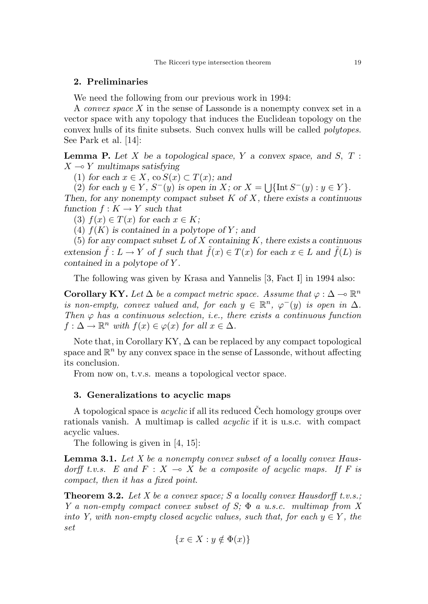## 2. Preliminaries

We need the following from our previous work in 1994:

A convex space X in the sense of Lassonde is a nonempty convex set in a vector space with any topology that induces the Euclidean topology on the convex hulls of its finite subsets. Such convex hulls will be called polytopes. See Park et al. [14]:

**Lemma P.** Let  $X$  be a topological space,  $Y$  a convex space, and  $S$ ,  $T$  :  $X \rightarrow Y$  multimaps satisfying

(1) for each  $x \in X$ , co  $S(x) \subset T(x)$ ; and

(2) for each  $y \in Y$ ,  $S^-(y)$  is open in X; or  $X = \bigcup \{\text{Int } S^-(y) : y \in Y\}.$ Then, for any nonempty compact subset  $K$  of  $X$ , there exists a continuous

function  $f: K \to Y$  such that

(3)  $f(x) \in T(x)$  for each  $x \in K$ ;

(4)  $f(K)$  is contained in a polytope of Y; and

(5) for any compact subset  $L$  of  $X$  containing  $K$ , there exists a continuous extension  $\tilde{f}: L \to Y$  of f such that  $\tilde{f}(x) \in T(x)$  for each  $x \in L$  and  $\tilde{f}(L)$  is contained in a polytope of Y .

The following was given by Krasa and Yannelis [3, Fact I] in 1994 also:

Corollary KY. Let  $\Delta$  be a compact metric space. Assume that  $\varphi : \Delta \to \mathbb{R}^n$ is non-empty, convex valued and, for each  $y \in \mathbb{R}^n$ ,  $\varphi^{-}(y)$  is open in  $\Delta$ . Then  $\varphi$  has a continuous selection, i.e., there exists a continuous function  $f: \Delta \to \mathbb{R}^n$  with  $f(x) \in \varphi(x)$  for all  $x \in \Delta$ .

Note that, in Corollary KY,  $\Delta$  can be replaced by any compact topological space and  $\mathbb{R}^n$  by any convex space in the sense of Lassonde, without affecting its conclusion.

From now on, t.v.s. means a topological vector space.

# 3. Generalizations to acyclic maps

A topological space is *acyclic* if all its reduced Cech homology groups over rationals vanish. A multimap is called *acyclic* if it is u.s.c. with compact acyclic values.

The following is given in [4, 15]:

**Lemma 3.1.** Let X be a nonempty convex subset of a locally convex Hausdorff t.v.s. E and  $F : X \to X$  be a composite of acyclic maps. If F is compact, then it has a fixed point.

**Theorem 3.2.** Let X be a convex space; S a locally convex Hausdorff t.v.s.; Y a non-empty compact convex subset of S;  $\Phi$  a u.s.c. multimap from X into Y, with non-empty closed acyclic values, such that, for each  $y \in Y$ , the set

$$
\{x \in X : y \notin \Phi(x)\}\
$$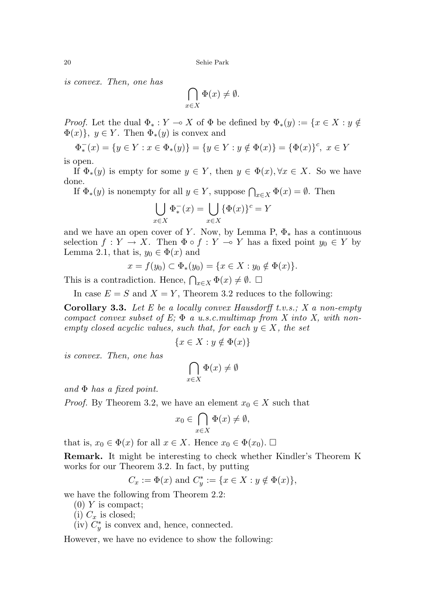is convex. Then, one has

$$
\bigcap_{x \in X} \Phi(x) \neq \emptyset.
$$

*Proof.* Let the dual  $\Phi_* : Y \to X$  of  $\Phi$  be defined by  $\Phi_*(y) := \{x \in X : y \notin Y\}$  $\Phi(x)$ ,  $y \in Y$ . Then  $\Phi_*(y)$  is convex and

$$
\Phi_*^-(x) = \{ y \in Y : x \in \Phi_*(y) \} = \{ y \in Y : y \notin \Phi(x) \} = \{ \Phi(x) \}^c, \ x \in Y
$$

is open.

If  $\Phi_*(y)$  is empty for some  $y \in Y$ , then  $y \in \Phi(x)$ ,  $\forall x \in X$ . So we have done.

If  $\Phi_*(y)$  is nonempty for all  $y \in Y$ , suppose  $\bigcap_{x \in X} \Phi(x) = \emptyset$ . Then

$$
\bigcup_{x \in X} \Phi_*^-(x) = \bigcup_{x \in X} {\{\Phi(x)\}}^c = Y
$$

and we have an open cover of Y. Now, by Lemma P,  $\Phi_*$  has a continuous selection  $f: Y \to X$ . Then  $\Phi \circ f: Y \to Y$  has a fixed point  $y_0 \in Y$  by Lemma 2.1, that is,  $y_0 \in \Phi(x)$  and

$$
x = f(y_0) \subset \Phi_*(y_0) = \{ x \in X : y_0 \notin \Phi(x) \}.
$$

This is a contradiction. Hence,  $\bigcap_{x\in X} \Phi(x) \neq \emptyset$ .  $\Box$ 

In case  $E = S$  and  $X = Y$ , Theorem 3.2 reduces to the following:

**Corollary 3.3.** Let E be a locally convex Hausdorff t.v.s.; X a non-empty compact convex subset of E;  $\Phi$  a u.s.c.multimap from X into X, with nonempty closed acyclic values, such that, for each  $y \in X$ , the set

$$
\{x \in X : y \notin \Phi(x)\}\
$$

is convex. Then, one has

$$
\bigcap_{x \in X} \Phi(x) \neq \emptyset
$$

and  $\Phi$  has a fixed point.

*Proof.* By Theorem 3.2, we have an element  $x_0 \in X$  such that

$$
x_0 \in \bigcap_{x \in X} \Phi(x) \neq \emptyset,
$$

that is,  $x_0 \in \Phi(x)$  for all  $x \in X$ . Hence  $x_0 \in \Phi(x_0)$ .  $\Box$ 

Remark. It might be interesting to check whether Kindler's Theorem K works for our Theorem 3.2. In fact, by putting

$$
C_x := \Phi(x)
$$
 and  $C_y^* := \{x \in X : y \notin \Phi(x)\},\$ 

we have the following from Theorem 2.2:

 $(0)$  Y is compact;

(i)  $C_x$  is closed;

 $(iv)$   $C_y^*$  is convex and, hence, connected.

However, we have no evidence to show the following: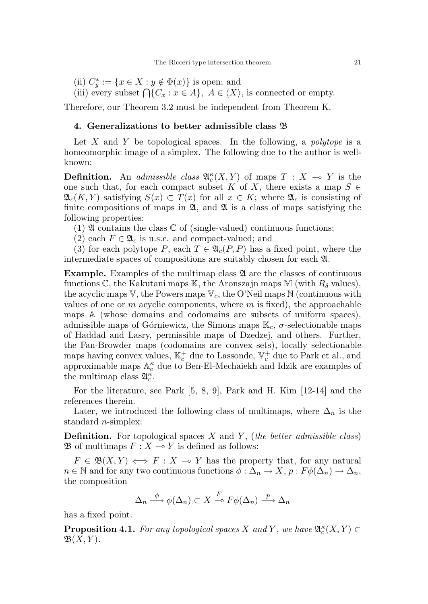- (ii)  $C_y^* := \{x \in X : y \notin \Phi(x)\}\$ is open; and
- (iii) every subset  $\bigcap \{C_x : x \in A\}, A \in \langle X \rangle$ , is connected or empty.

Therefore, our Theorem 3.2 must be independent from Theorem K.

#### 4. Generalizations to better admissible class B

Let X and Y be topological spaces. In the following, a *polytope* is a homeomorphic image of a simplex. The following due to the author is wellknown:

**Definition.** An *admissible class*  $\mathfrak{A}_{c}^{\kappa}(X, Y)$  of maps  $T : X \multimap Y$  is the one such that, for each compact subset K of X, there exists a map  $S \in$  $\mathfrak{A}_{c}(K, Y)$  satisfying  $S(x) \subset T(x)$  for all  $x \in K$ ; where  $\mathfrak{A}_{c}$  is consisting of finite compositions of maps in  $\mathfrak{A}$ , and  $\mathfrak{A}$  is a class of maps satisfying the following properties:

(1)  $\mathfrak A$  contains the class  $\mathbb C$  of (single-valued) continuous functions;

(2) each  $F \in \mathfrak{A}_c$  is u.s.c. and compact-valued; and

(3) for each polytope P, each  $T \in \mathfrak{A}_{c}(P, P)$  has a fixed point, where the intermediate spaces of compositions are suitably chosen for each A.

**Example.** Examples of the multimap class  $\mathfrak A$  are the classes of continuous functions  $\mathbb{C}$ , the Kakutani maps K, the Aronszajn maps M (with  $R_{\delta}$  values), the acyclic maps V, the Powers maps  $V_c$ , the O'Neil maps N (continuous with values of one or m acyclic components, where m is fixed), the approachable maps A (whose domains and codomains are subsets of uniform spaces), admissible maps of Górniewicz, the Simons maps  $\mathbb{K}_c$ ,  $\sigma$ -selectionable maps of Haddad and Lasry, permissible maps of Dzedzej, and others. Further, the Fan-Browder maps (codomains are convex sets), locally selectionable maps having convex values,  $\mathbb{K}_c^+$  due to Lassonde,  $\mathbb{V}_c^+$  due to Park et al., and approximable maps  $\mathbb{A}_{c}^{\kappa}$  due to Ben-El-Mechaiekh and Idzik are examples of the multimap class  $\mathfrak{A}_{c}^{\kappa}$ .

For the literature, see Park [5, 8, 9], Park and H. Kim [12-14] and the references therein.

Later, we introduced the following class of multimaps, where  $\Delta_n$  is the standard *n*-simplex:

**Definition.** For topological spaces X and Y, (the better admissible class)  $\mathfrak{B}$  of multimaps  $F : X \longrightarrow Y$  is defined as follows:

 $F \in \mathfrak{B}(X,Y) \iff F : X \multimap Y$  has the property that, for any natural  $n \in \mathbb{N}$  and for any two continuous functions  $\phi : \Delta_n \to X$ ,  $p : F\phi(\Delta_n) \to \Delta_n$ , the composition

$$
\Delta_n \xrightarrow{\phi} \phi(\Delta_n) \subset X \xrightarrow{F} F\phi(\Delta_n) \xrightarrow{p} \Delta_n
$$

has a fixed point.

**Proposition 4.1.** For any topological spaces X and Y, we have  $\mathfrak{A}_{c}^{\kappa}(X, Y) \subset$  $\mathfrak{B}(X,Y)$ .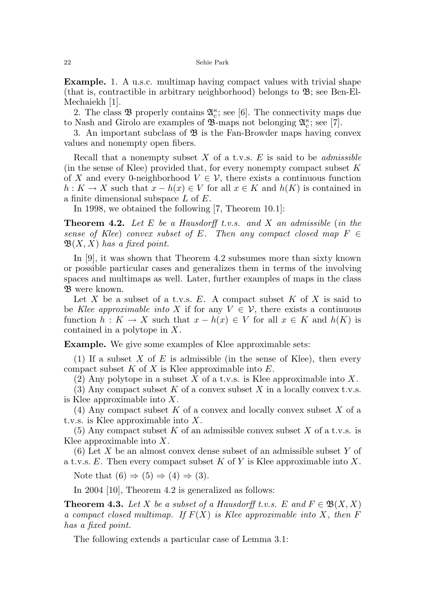Example. 1. A u.s.c. multimap having compact values with trivial shape (that is, contractible in arbitrary neighborhood) belongs to  $\mathfrak{B}$ ; see Ben-El-Mechaiekh [1].

2. The class  $\mathfrak{B}$  properly contains  $\mathfrak{A}_{c}^{\kappa}$ ; see [6]. The connectivity maps due to Nash and Girolo are examples of  $\mathfrak{B}$ -maps not belonging  $\mathfrak{A}_{c}^{\kappa}$ ; see [7].

3. An important subclass of  $\mathfrak{B}$  is the Fan-Browder maps having convex values and nonempty open fibers.

Recall that a nonempty subset X of a t.v.s.  $E$  is said to be *admissible* (in the sense of Klee) provided that, for every nonempty compact subset  $K$ of X and every 0-neighborhood  $V \in \mathcal{V}$ , there exists a continuous function  $h: K \to X$  such that  $x - h(x) \in V$  for all  $x \in K$  and  $h(K)$  is contained in a finite dimensional subspace L of E.

In 1998, we obtained the following [7, Theorem 10.1]:

**Theorem 4.2.** Let E be a Hausdorff t.v.s. and X an admissible (in the sense of Klee) convex subset of E. Then any compact closed map  $F \in$  $\mathfrak{B}(X,X)$  has a fixed point.

In [9], it was shown that Theorem 4.2 subsumes more than sixty known or possible particular cases and generalizes them in terms of the involving spaces and multimaps as well. Later, further examples of maps in the class B were known.

Let X be a subset of a t.v.s.  $E$ . A compact subset  $K$  of  $X$  is said to be Klee approximable into X if for any  $V \in \mathcal{V}$ , there exists a continuous function  $h: K \to X$  such that  $x - h(x) \in V$  for all  $x \in K$  and  $h(K)$  is contained in a polytope in X.

**Example.** We give some examples of Klee approximable sets:

(1) If a subset X of E is admissible (in the sense of Klee), then every compact subset  $K$  of  $X$  is Klee approximable into  $E$ .

(2) Any polytope in a subset X of a t.v.s. is Klee approximable into X.

(3) Any compact subset  $K$  of a convex subset  $X$  in a locally convex t.v.s. is Klee approximable into X.

(4) Any compact subset  $K$  of a convex and locally convex subset  $X$  of a t.v.s. is Klee approximable into X.

(5) Any compact subset K of an admissible convex subset X of a t.v.s. is Klee approximable into  $X$ .

 $(6)$  Let X be an almost convex dense subset of an admissible subset Y of a t.v.s.  $E$ . Then every compact subset  $K$  of  $Y$  is Klee approximable into  $X$ .

Note that  $(6) \Rightarrow (5) \Rightarrow (4) \Rightarrow (3)$ .

In 2004 [10], Theorem 4.2 is generalized as follows:

**Theorem 4.3.** Let X be a subset of a Hausdorff t.v.s. E and  $F \in \mathfrak{B}(X,X)$ a compact closed multimap. If  $F(X)$  is Klee approximable into X, then F has a fixed point.

The following extends a particular case of Lemma 3.1: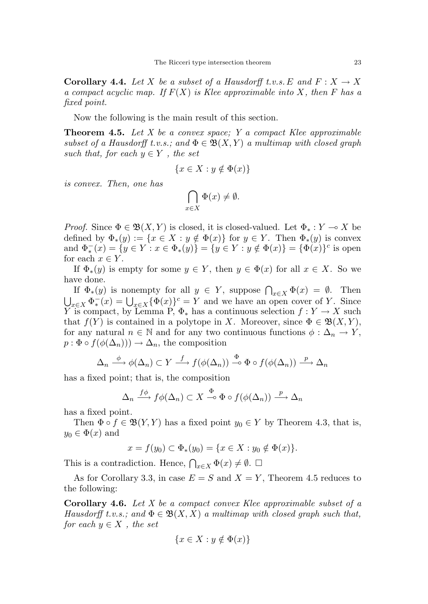**Corollary 4.4.** Let X be a subset of a Hausdorff t.v.s. E and  $F: X \to X$ a compact acyclic map. If  $F(X)$  is Klee approximable into X, then F has a fixed point.

Now the following is the main result of this section.

**Theorem 4.5.** Let X be a convex space; Y a compact Klee approximable subset of a Hausdorff t.v.s.; and  $\Phi \in \mathfrak{B}(X,Y)$  a multimap with closed graph such that, for each  $y \in Y$ , the set

$$
\{x \in X : y \notin \Phi(x)\}
$$

is convex. Then, one has

$$
\bigcap_{x \in X} \Phi(x) \neq \emptyset.
$$

*Proof.* Since  $\Phi \in \mathfrak{B}(X, Y)$  is closed, it is closed-valued. Let  $\Phi_* : Y \to X$  be defined by  $\Phi_*(y) := \{x \in X : y \notin \Phi(x)\}\$ for  $y \in Y$ . Then  $\Phi_*(y)$  is convex and  $\Phi_*^-(x) = \{ y \in Y : x \in \Phi_*(y) \} = \{ y \in Y : y \notin \Phi(x) \} = \{ \Phi(x) \}^c$  is open for each  $x \in Y$ .

If  $\Phi_*(y)$  is empty for some  $y \in Y$ , then  $y \in \Phi(x)$  for all  $x \in X$ . So we have done.

If  $\Phi_*(y)$  is nonempty for all  $y \in Y$ , suppose  $\bigcap_{x \in X} \Phi(x) = \emptyset$ . Then  $\bigcup_{x\in X} \Phi^-_*(x) = \bigcup_{x\in X} {\{\Phi(x)\}}^c = Y$  and we have an open cover of Y. Since Y is compact, by Lemma P,  $\Phi_*$  has a continuous selection  $f: Y \to X$  such that  $f(Y)$  is contained in a polytope in X. Moreover, since  $\Phi \in \mathfrak{B}(X,Y)$ , for any natural  $n \in \mathbb{N}$  and for any two continuous functions  $\phi : \Delta_n \to Y$ ,  $p : \Phi \circ f(\phi(\Delta_n))) \to \Delta_n$ , the composition

$$
\Delta_n \xrightarrow{\phi} \phi(\Delta_n) \subset Y \xrightarrow{f} f(\phi(\Delta_n)) \xrightarrow{\Phi} \Phi \circ f(\phi(\Delta_n)) \xrightarrow{p} \Delta_n
$$

has a fixed point; that is, the composition

$$
\Delta_n \xrightarrow{f\phi} f\phi(\Delta_n) \subset X \xrightarrow{\Phi} \Phi \circ f(\phi(\Delta_n)) \xrightarrow{p} \Delta_n
$$

has a fixed point.

Then  $\Phi \circ f \in \mathfrak{B}(Y, Y)$  has a fixed point  $y_0 \in Y$  by Theorem 4.3, that is,  $y_0 \in \Phi(x)$  and

$$
x = f(y_0) \subset \Phi_*(y_0) = \{ x \in X : y_0 \notin \Phi(x) \}.
$$

This is a contradiction. Hence,  $\bigcap_{x\in X} \Phi(x) \neq \emptyset$ .  $\Box$ 

As for Corollary 3.3, in case  $E = S$  and  $X = Y$ , Theorem 4.5 reduces to the following:

**Corollary 4.6.** Let  $X$  be a compact convex Klee approximable subset of a Hausdorff t.v.s.; and  $\Phi \in \mathfrak{B}(X,X)$  a multimap with closed graph such that, for each  $y \in X$ , the set

$$
\{x \in X : y \notin \Phi(x)\}\
$$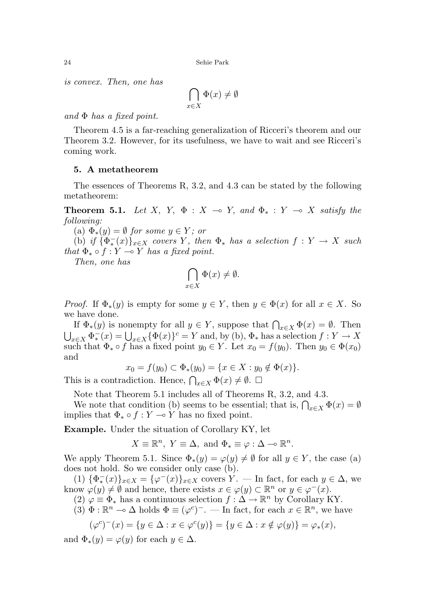24 Sehie Park

is convex. Then, one has

$$
\bigcap_{x \in X} \Phi(x) \neq \emptyset
$$

and  $\Phi$  has a fixed point.

Theorem 4.5 is a far-reaching generalization of Ricceri's theorem and our Theorem 3.2. However, for its usefulness, we have to wait and see Ricceri's coming work.

#### 5. A metatheorem

The essences of Theorems R, 3.2, and 4.3 can be stated by the following metatheorem:

**Theorem 5.1.** Let X, Y,  $\Phi : X \multimap Y$ , and  $\Phi_* : Y \multimap X$  satisfy the following:

(a)  $\Phi_*(y) = \emptyset$  for some  $y \in Y$ ; or

(b) if  ${\overline{\{\Phi_{*}^-(x)\}}_{x\in X}}$  covers Y, then  $\Phi_{*}$  has a selection  $f:Y\to X$  such that  $\Phi_* \circ f : Y \to Y$  has a fixed point.

Then, one has

$$
\bigcap_{x \in X} \Phi(x) \neq \emptyset.
$$

*Proof.* If  $\Phi_*(y)$  is empty for some  $y \in Y$ , then  $y \in \Phi(x)$  for all  $x \in X$ . So we have done.

If  $\Phi_*(y)$  is nonempty for all  $y \in Y$ , suppose that  $\bigcap_{x \in X} \Phi(x) = \emptyset$ . Then  $\bigcup_{x\in X} \Phi^-_*(x) = \bigcup_{x\in X} {\{\Phi(x)\}}^c = Y$  and, by (b),  $\Phi_*$  has a selection  $f: Y \to X$ such that  $\Phi_* \circ f$  has a fixed point  $y_0 \in Y$ . Let  $x_0 = f(y_0)$ . Then  $y_0 \in \Phi(x_0)$ and

$$
x_0 = f(y_0) \subset \Phi_*(y_0) = \{ x \in X : y_0 \notin \Phi(x) \}.
$$

This is a contradiction. Hence,  $\bigcap_{x\in X} \Phi(x) \neq \emptyset$ .  $\Box$ 

Note that Theorem 5.1 includes all of Theorems R, 3.2, and 4.3.

We note that condition (b) seems to be essential; that is,  $\bigcap_{x\in X} \Phi(x) = \emptyset$ implies that  $\Phi_* \circ f : Y \to Y$  has no fixed point.

Example. Under the situation of Corollary KY, let

$$
X \equiv \mathbb{R}^n, Y \equiv \Delta, \text{ and } \Phi_* \equiv \varphi : \Delta \multimap \mathbb{R}^n.
$$

We apply Theorem 5.1. Since  $\Phi_*(y) = \varphi(y) \neq \emptyset$  for all  $y \in Y$ , the case (a) does not hold. So we consider only case (b).

(1)  $\{\Phi_*^-(x)\}_{x\in X} = \{\varphi^-(x)\}_{x\in X}$  covers  $Y$ . — In fact, for each  $y \in \Delta$ , we know  $\varphi(y) \neq \emptyset$  and hence, there exists  $x \in \varphi(y) \subset \mathbb{R}^n$  or  $y \in \varphi^{-1}(x)$ .

(2)  $\varphi \equiv \Phi_*$  has a continuous selection  $f : \Delta \to \mathbb{R}^n$  by Corollary KY.

 $(3) \Phi : \mathbb{R}^n \to \Delta$  holds  $\Phi \equiv (\varphi^c)^{-}$ . — In fact, for each  $x \in \mathbb{R}^n$ , we have

$$
(\varphi^c)^-(x) = \{ y \in \Delta : x \in \varphi^c(y) \} = \{ y \in \Delta : x \notin \varphi(y) \} = \varphi_*(x),
$$

and  $\Phi_*(y) = \varphi(y)$  for each  $y \in \Delta$ .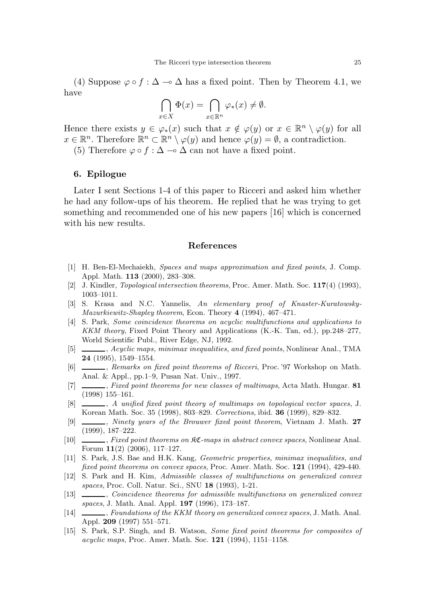(4) Suppose  $\varphi \circ f : \Delta \to \Delta$  has a fixed point. Then by Theorem 4.1, we have

$$
\bigcap_{x \in X} \Phi(x) = \bigcap_{x \in \mathbb{R}^n} \varphi_*(x) \neq \emptyset.
$$

Hence there exists  $y \in \varphi_*(x)$  such that  $x \notin \varphi(y)$  or  $x \in \mathbb{R}^n \setminus \varphi(y)$  for all  $x \in \mathbb{R}^n$ . Therefore  $\mathbb{R}^n \subset \mathbb{R}^n \setminus \varphi(y)$  and hence  $\varphi(y) = \emptyset$ , a contradiction.

(5) Therefore  $\varphi \circ f : \Delta \to \Delta$  can not have a fixed point.

#### 6. Epilogue

Later I sent Sections 1-4 of this paper to Ricceri and asked him whether he had any follow-ups of his theorem. He replied that he was trying to get something and recommended one of his new papers [16] which is concerned with his new results.

#### References

- [1] H. Ben-El-Mechaiekh, Spaces and maps approximation and fixed points, J. Comp. Appl. Math. 113 (2000), 283–308.
- [2] J. Kindler, Topological intersection theorems, Proc. Amer. Math. Soc. 117(4) (1993), 1003–1011.
- [3] S. Krasa and N.C. Yannelis, An elementary proof of Knaster-Kuratowsky-Mazurkiewitz-Shapley theorem, Econ. Theory 4 (1994), 467–471.
- [4] S. Park, Some coincidence theorems on acyclic multifunctions and applications to KKM theory, Fixed Point Theory and Applications (K.-K. Tan, ed.), pp.248–277, World Scientific Publ., River Edge, NJ, 1992.
- [5]  $\Box$ , Acyclic maps, minimax inequalities, and fixed points, Nonlinear Anal., TMA 24 (1995), 1549–1554.
- [6] , Remarks on fixed point theorems of Ricceri, Proc. '97 Workshop on Math. Anal. & Appl., pp.1–9, Pusan Nat. Univ., 1997.
- [7]  $\Box$ , Fixed point theorems for new classes of multimaps, Acta Math. Hungar. 81 (1998) 155–161.
- [8]  $\Box$ , A unified fixed point theory of multimaps on topological vector spaces, J. Korean Math. Soc. 35 (1998), 803–829. Corrections, ibid. 36 (1999), 829–832.
- [9]  $\_\_\_\_\$ n, Ninety years of the Brouwer fixed point theorem, Vietnam J. Math. 27 (1999), 187–222.
- [10] , Fixed point theorems on KC-maps in abstract convex spaces, Nonlinear Anal. Forum 11(2) (2006), 117–127.
- [11] S. Park, J.S. Bae and H.K. Kang, Geometric properties, minimax inequalities, and fixed point theorems on convex spaces, Proc. Amer. Math. Soc. 121 (1994), 429-440.
- [12] S. Park and H. Kim, Admissible classes of multifunctions on generalized convex spaces, Proc. Coll. Natur. Sci., SNU 18 (1993), 1-21.
- [13]  $\_\_\_\_\_\_\_\_\_\.\$  Coincidence theorems for admissible multifunctions on generalized convex spaces, J. Math. Anal. Appl. 197 (1996), 173–187.
- [14] , Foundations of the KKM theory on generalized convex spaces, J. Math. Anal. Appl. 209 (1997) 551–571.
- [15] S. Park, S.P. Singh, and B. Watson, Some fixed point theorems for composites of acyclic maps, Proc. Amer. Math. Soc. 121 (1994), 1151–1158.